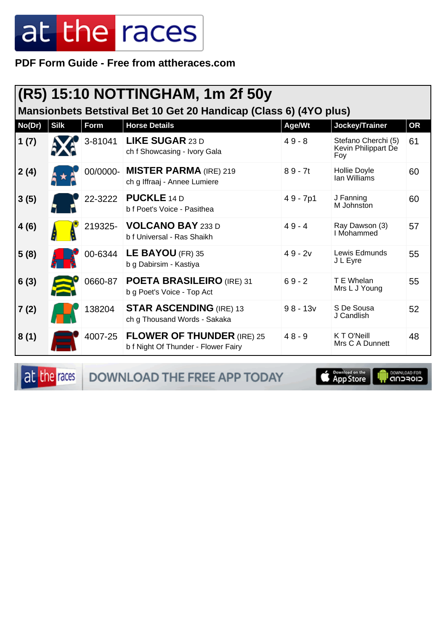**PDF Form Guide - Free from attheraces.com**

| (R5) 15:10 NOTTINGHAM, 1m 2f 50y<br>Mansionbets Betstival Bet 10 Get 20 Handicap (Class 6) (4YO plus) |             |         |                                                                          |            |                                                   |           |  |
|-------------------------------------------------------------------------------------------------------|-------------|---------|--------------------------------------------------------------------------|------------|---------------------------------------------------|-----------|--|
| No(Dr)                                                                                                | <b>Silk</b> | Form    | <b>Horse Details</b>                                                     | Age/Wt     | Jockey/Trainer                                    | <b>OR</b> |  |
| 1(7)                                                                                                  |             | 3-81041 | <b>LIKE SUGAR 23 D</b><br>ch f Showcasing - Ivory Gala                   | $49 - 8$   | Stefano Cherchi (5)<br>Kevin Philippart De<br>Foy | 61        |  |
| 2(4)                                                                                                  |             |         | 00/0000- MISTER PARMA (IRE) 219<br>ch g Iffraaj - Annee Lumiere          | $89 - 7t$  | <b>Hollie Doyle</b><br>lan Williams               | 60        |  |
| 3(5)                                                                                                  |             | 22-3222 | <b>PUCKLE</b> 14 D<br>b f Poet's Voice - Pasithea                        | $49 - 7p1$ | J Fanning<br>M Johnston                           | 60        |  |
| 4(6)                                                                                                  |             | 219325- | <b>VOLCANO BAY 233 D</b><br>b f Universal - Ras Shaikh                   | $49 - 4$   | Ray Dawson (3)<br>I Mohammed                      | 57        |  |
| 5(8)                                                                                                  |             | 00-6344 | LE BAYOU (FR) $35$<br>b g Dabirsim - Kastiya                             | $49 - 2v$  | Lewis Edmunds<br>J L Eyre                         | 55        |  |
| 6(3)                                                                                                  |             | 0660-87 | POETA BRASILEIRO (IRE) 31<br>b g Poet's Voice - Top Act                  | $69 - 2$   | T E Whelan<br>Mrs L J Young                       | 55        |  |
| 7(2)                                                                                                  |             | 138204  | <b>STAR ASCENDING (IRE) 13</b><br>ch g Thousand Words - Sakaka           | $98 - 13v$ | S De Sousa<br>J Candlish                          | 52        |  |
| 8(1)                                                                                                  |             | 4007-25 | <b>FLOWER OF THUNDER (IRE) 25</b><br>b f Night Of Thunder - Flower Fairy | $48 - 9$   | K T O'Neill<br>Mrs C A Dunnett                    | 48        |  |

at the races DOWNLOAD THE FREE APP TODAY



**I DOWNLOAD FOR**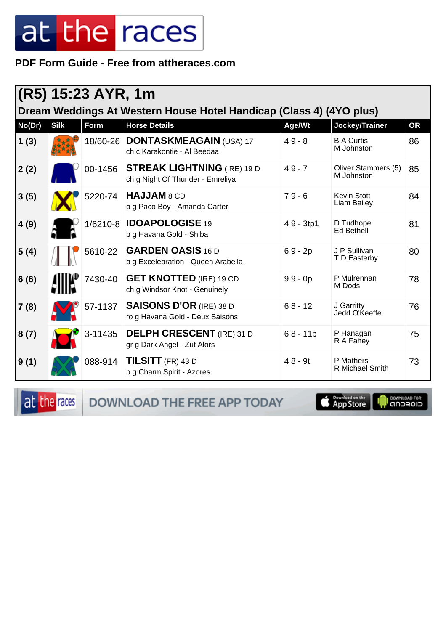**PDF Form Guide - Free from attheraces.com**

| (R5) 15:23 AYR, 1m<br>Dream Weddings At Western House Hotel Handicap (Class 4) (4YO plus) |             |          |                                                                        |            |                                          |           |  |  |
|-------------------------------------------------------------------------------------------|-------------|----------|------------------------------------------------------------------------|------------|------------------------------------------|-----------|--|--|
| No(Dr)                                                                                    | <b>Silk</b> | Form     | <b>Horse Details</b>                                                   | Age/Wt     | Jockey/Trainer                           | <b>OR</b> |  |  |
| 1(3)                                                                                      |             | 18/60-26 | <b>DONTASKMEAGAIN (USA) 17</b><br>ch c Karakontie - Al Beedaa          | $49 - 8$   | <b>B A Curtis</b><br>M Johnston          | 86        |  |  |
| 2(2)                                                                                      |             | 00-1456  | <b>STREAK LIGHTNING (IRE) 19 D</b><br>ch g Night Of Thunder - Emreliya | $49 - 7$   | Oliver Stammers (5)<br>M Johnston        | 85        |  |  |
| 3(5)                                                                                      |             | 5220-74  | HAJJAM 8 CD<br>b g Paco Boy - Amanda Carter                            | $79 - 6$   | <b>Kevin Stott</b><br><b>Liam Bailey</b> | 84        |  |  |
| 4(9)                                                                                      |             | 1/6210-8 | <b>IDOAPOLOGISE 19</b><br>b g Havana Gold - Shiba                      | 49 - 3tp1  | D Tudhope<br>Ed Bethell                  | 81        |  |  |
| 5(4)                                                                                      |             | 5610-22  | <b>GARDEN OASIS 16 D</b><br>b g Excelebration - Queen Arabella         | $69 - 2p$  | J P Sullivan<br>T D Easterby             | 80        |  |  |
| 6(6)                                                                                      |             | 7430-40  | <b>GET KNOTTED</b> (IRE) 19 CD<br>ch g Windsor Knot - Genuinely        | $99 - 0p$  | P Mulrennan<br>M Dods                    | 78        |  |  |
| 7(8)                                                                                      |             | 57-1137  | <b>SAISONS D'OR (IRE) 38 D</b><br>ro g Havana Gold - Deux Saisons      | $68 - 12$  | J Garritty<br>Jedd O'Keeffe              | 76        |  |  |
| 8(7)                                                                                      |             | 3-11435  | <b>DELPH CRESCENT</b> (IRE) 31 D<br>gr g Dark Angel - Zut Alors        | $68 - 11p$ | P Hanagan<br>R A Fahey                   | 75        |  |  |
| 9(1)                                                                                      |             | 088-914  | <b>TILSITT</b> (FR) 43 D<br>b g Charm Spirit - Azores                  | $48 - 9t$  | P Mathers<br><b>R</b> Michael Smith      | 73        |  |  |

at the races DOWNLOAD THE FREE APP TODAY

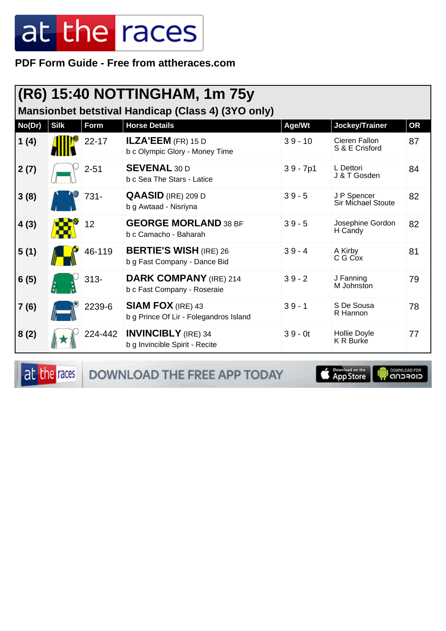PDF Form Guide - Free from attheraces.com

|        |             |           | (R6) 15:40 NOTTINGHAM, 1m 75y                                      |            |                                          |           |
|--------|-------------|-----------|--------------------------------------------------------------------|------------|------------------------------------------|-----------|
|        |             |           | Mansionbet betstival Handicap (Class 4) (3YO only)                 |            |                                          |           |
| No(Dr) | <b>Silk</b> | Form      | <b>Horse Details</b>                                               | Age/Wt     | Jockey/Trainer                           | <b>OR</b> |
| 1(4)   |             | $22 - 17$ | ILZA'EEM (FR) 15 D<br>b c Olympic Glory - Money Time               | $39 - 10$  | Cieren Fallon<br>S & E Crisford          | 87        |
| 2(7)   |             | $2 - 51$  | <b>SEVENAL 30 D</b><br>b c Sea The Stars - Latice                  | $39 - 7p1$ | L Dettori<br>J & T Gosden                | 84        |
| 3(8)   |             | 731-      | <b>QAASID</b> (IRE) 209 D<br>b g Awtaad - Nisriyna                 | $39 - 5$   | J P Spencer<br><b>Sir Michael Stoute</b> | 82        |
| 4(3)   |             | 12        | <b>GEORGE MORLAND 38 BF</b><br>b c Camacho - Baharah               | $39 - 5$   | Josephine Gordon<br>H Candy              | 82        |
| 5(1)   |             | 46-119    | <b>BERTIE'S WISH (IRE) 26</b><br>b g Fast Company - Dance Bid      | $39 - 4$   | A Kirby<br>C G Cox                       | 81        |
| 6(5)   |             | $313 -$   | <b>DARK COMPANY (IRE) 214</b><br>b c Fast Company - Roseraie       | $39 - 2$   | J Fanning<br>M Johnston                  | 79        |
| 7(6)   |             | 2239-6    | <b>SIAM FOX (IRE) 43</b><br>b g Prince Of Lir - Folegandros Island | $39 - 1$   | S De Sousa<br>R Hannon                   | 78        |
| 8(2)   |             | 224-442   | <b>INVINCIBLY</b> (IRE) 34<br>b g Invincible Spirit - Recite       | $39 - 0t$  | Hollie Doyle<br><b>K R Burke</b>         | 77        |

at the races

DOWNLOAD THE FREE APP TODAY



**I** DOWNLOAD FOR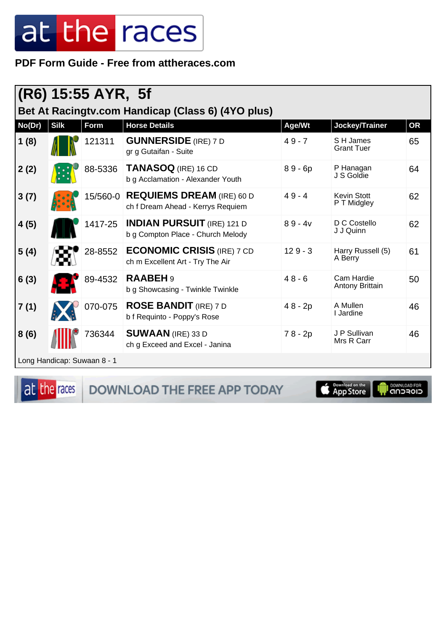#### PDF Form Guide - Free from attheraces.com

| (R6) 15:55 AYR, 5f<br>Bet At Racingty.com Handicap (Class 6) (4YO plus) |             |                             |                                                                        |           |                                   |           |  |
|-------------------------------------------------------------------------|-------------|-----------------------------|------------------------------------------------------------------------|-----------|-----------------------------------|-----------|--|
| No(Dr)                                                                  | <b>Silk</b> | <b>Form</b>                 | <b>Horse Details</b>                                                   | Age/Wt    | Jockey/Trainer                    | <b>OR</b> |  |
| 1(8)                                                                    |             | 121311                      | <b>GUNNERSIDE</b> (IRE) 7 D<br>gr g Gutaifan - Suite                   | $49 - 7$  | S H James<br><b>Grant Tuer</b>    | 65        |  |
| 2(2)                                                                    |             | 88-5336                     | TANASOQ (IRE) 16 CD<br>b g Acclamation - Alexander Youth               | $89 - 6p$ | P Hanagan<br>J S Goldie           | 64        |  |
| 3(7)                                                                    |             | 15/560-0                    | <b>REQUIEMS DREAM (IRE) 60 D</b><br>ch f Dream Ahead - Kerrys Requiem  | $49 - 4$  | <b>Kevin Stott</b><br>P T Midgley | 62        |  |
| 4(5)                                                                    |             | 1417-25                     | <b>INDIAN PURSUIT</b> (IRE) 121 D<br>b g Compton Place - Church Melody | $89 - 4v$ | D C Costello<br>J J Quinn         | 62        |  |
| 5(4)                                                                    |             | 28-8552                     | <b>ECONOMIC CRISIS (IRE) 7 CD</b><br>ch m Excellent Art - Try The Air  | $129 - 3$ | Harry Russell (5)<br>A Berry      | 61        |  |
| 6(3)                                                                    |             | 89-4532                     | <b>RAABEH 9</b><br>b g Showcasing - Twinkle Twinkle                    | $48 - 6$  | Cam Hardie<br>Antony Brittain     | 50        |  |
| 7(1)                                                                    |             | 070-075                     | <b>ROSE BANDIT</b> (IRE) 7 D<br>b f Requinto - Poppy's Rose            | $48 - 2p$ | A Mullen<br>I Jardine             | 46        |  |
| 8(6)                                                                    |             | 736344                      | <b>SUWAAN</b> (IRE) 33 D<br>ch g Exceed and Excel - Janina             | $78 - 2p$ | J P Sullivan<br>Mrs R Carr        | 46        |  |
|                                                                         |             | Long Handicap: Suwaan 8 - 1 |                                                                        |           |                                   |           |  |

at the races

DOWNLOAD THE FREE APP TODAY



**Il DOWNLOAD FOR**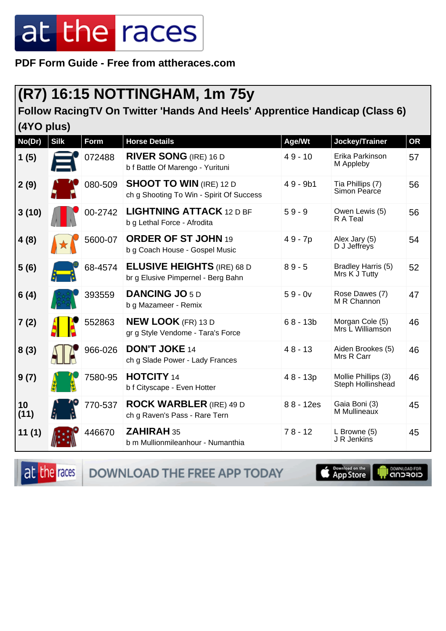**PDF Form Guide - Free from attheraces.com**

#### **(R7) 16:15 NOTTINGHAM, 1m 75y**

#### **Follow RacingTV On Twitter 'Hands And Heels' Apprentice Handicap (Class 6)**

**(4YO plus)**

| No(Dr)     | <b>Silk</b> | Form    | <b>Horse Details</b>                                                       | Age/Wt     | Jockey/Trainer                           | <b>OR</b> |
|------------|-------------|---------|----------------------------------------------------------------------------|------------|------------------------------------------|-----------|
| 1(5)       |             | 072488  | <b>RIVER SONG (IRE) 16 D</b><br>b f Battle Of Marengo - Yurituni           | $49 - 10$  | Erika Parkinson<br>M Appleby             | 57        |
| 2(9)       |             | 080-509 | <b>SHOOT TO WIN (IRE) 12 D</b><br>ch g Shooting To Win - Spirit Of Success | $49 - 9b1$ | Tia Phillips (7)<br>Simon Pearce         | 56        |
| 3(10)      |             | 00-2742 | <b>LIGHTNING ATTACK 12 D BF</b><br>b g Lethal Force - Afrodita             | $59 - 9$   | Owen Lewis (5)<br>R A Teal               | 56        |
| 4(8)       |             | 5600-07 | <b>ORDER OF ST JOHN 19</b><br>b g Coach House - Gospel Music               | 49 - 7p    | Alex Jary (5)<br>D J Jeffreys            | 54        |
| 5(6)       |             | 68-4574 | <b>ELUSIVE HEIGHTS</b> (IRE) 68 D<br>br g Elusive Pimpernel - Berg Bahn    | $89 - 5$   | Bradley Harris (5)<br>Mrs K J Tutty      | 52        |
| 6(4)       |             | 393559  | <b>DANCING JO 5 D</b><br>b g Mazameer - Remix                              | $59 - 0v$  | Rose Dawes (7)<br>M R Channon            | 47        |
| 7(2)       |             | 552863  | <b>NEW LOOK</b> (FR) 13 D<br>gr g Style Vendome - Tara's Force             | $68 - 13b$ | Morgan Cole (5)<br>Mrs L Williamson      | 46        |
| 8(3)       |             | 966-026 | <b>DON'T JOKE 14</b><br>ch g Slade Power - Lady Frances                    | $48 - 13$  | Aiden Brookes (5)<br>Mrs R Carr          | 46        |
| 9(7)       |             | 7580-95 | <b>HOTCITY</b> 14<br>b f Cityscape - Even Hotter                           | $48 - 13p$ | Mollie Phillips (3)<br>Steph Hollinshead | 46        |
| 10<br>(11) |             | 770-537 | <b>ROCK WARBLER (IRE) 49 D</b><br>ch g Raven's Pass - Rare Tern            | 88 - 12es  | Gaia Boni (3)<br>M Mullineaux            | 45        |
| 11(1)      |             | 446670  | <b>ZAHIRAH 35</b><br>b m Mullionmileanhour - Numanthia                     | $78 - 12$  | L Browne (5)<br>J R Jenkins              | 45        |

at the races

DOWNLOAD THE FREE APP TODAY

**S** Download on the



**I DOWNLOAD FOR**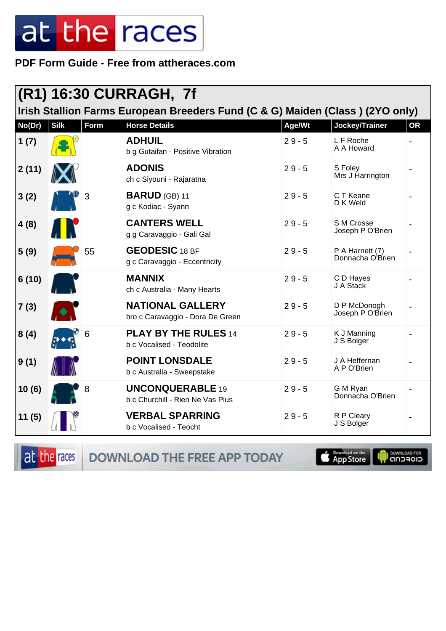PDF Form Guide - Free from attheraces.com

| (R1) 16:30 CURRAGH, 7f<br>Irish Stallion Farms European Breeders Fund (C & G) Maiden (Class) (2YO only) |                          |             |                                                             |          |                                     |           |  |
|---------------------------------------------------------------------------------------------------------|--------------------------|-------------|-------------------------------------------------------------|----------|-------------------------------------|-----------|--|
| No(Dr)                                                                                                  | <b>Silk</b>              | <b>Form</b> | <b>Horse Details</b>                                        | Age/Wt   | Jockey/Trainer                      | <b>OR</b> |  |
| 1(7)                                                                                                    |                          |             | <b>ADHUIL</b><br>b g Gutaifan - Positive Vibration          | $29 - 5$ | L F Roche<br>A A Howard             |           |  |
| 2(11)                                                                                                   |                          |             | <b>ADONIS</b><br>ch c Siyouni - Rajaratna                   | $29 - 5$ | S Foley<br>Mrs J Harrington         |           |  |
| 3(2)                                                                                                    |                          | 3           | <b>BARUD</b> (GB) 11<br>g c Kodiac - Syann                  | $29 - 5$ | C T Keane<br>D K Weld               |           |  |
| 4(8)                                                                                                    |                          |             | <b>CANTERS WELL</b><br>g g Caravaggio - Gali Gal            | $29 - 5$ | S M Crosse<br>Joseph P O'Brien      |           |  |
| 5(9)                                                                                                    |                          | 55          | <b>GEODESIC 18 BF</b><br>g c Caravaggio - Eccentricity      | $29 - 5$ | P A Harnett (7)<br>Donnacha O'Brien |           |  |
| 6(10)                                                                                                   |                          |             | <b>MANNIX</b><br>ch c Australia - Many Hearts               | $29 - 5$ | C D Hayes<br>J A Stack              |           |  |
| 7(3)                                                                                                    | $\left  \bullet \right $ |             | <b>NATIONAL GALLERY</b><br>bro c Caravaggio - Dora De Green | $29 - 5$ | D P McDonogh<br>Joseph P O'Brien    |           |  |
| 8(4)                                                                                                    |                          | 6           | <b>PLAY BY THE RULES 14</b><br>b c Vocalised - Teodolite    | $29 - 5$ | K J Manning<br>J S Bolger           |           |  |
| 9(1)                                                                                                    |                          |             | <b>POINT LONSDALE</b><br>b c Australia - Sweepstake         | $29 - 5$ | J A Heffernan<br>A P O'Brien        |           |  |
| 10(6)                                                                                                   |                          | 8           | <b>UNCONQUERABLE 19</b><br>b c Churchill - Rien Ne Vas Plus | $29 - 5$ | G M Ryan<br>Donnacha O'Brien        |           |  |
| 11(5)                                                                                                   |                          |             | <b>VERBAL SPARRING</b><br>b c Vocalised - Teocht            | $29 - 5$ | R P Cleary<br>J S Bolger            |           |  |

at the races

DOWNLOAD THE FREE APP TODAY

**S** Download on the

**DOWNLOAD FOR**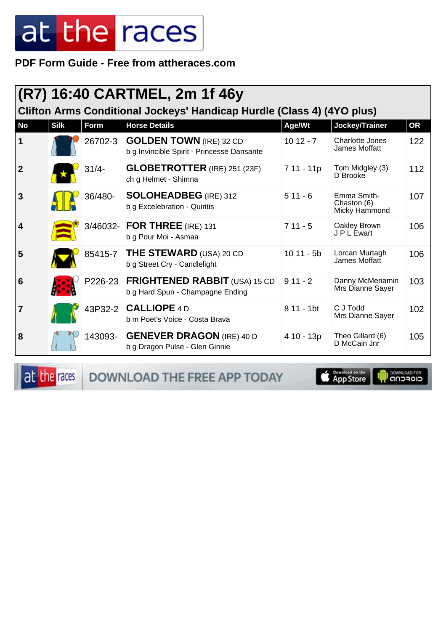**PDF Form Guide - Free from attheraces.com**

| (R7) 16:40 CARTMEL, 2m 1f 46y<br>Clifton Arms Conditional Jockeys' Handicap Hurdle (Class 4) (4YO plus) |             |             |                                                                              |              |                                             |     |  |  |
|---------------------------------------------------------------------------------------------------------|-------------|-------------|------------------------------------------------------------------------------|--------------|---------------------------------------------|-----|--|--|
| <b>No</b>                                                                                               | <b>Silk</b> | <b>Form</b> | <b>Horse Details</b>                                                         | Age/Wt       | Jockey/Trainer                              | OR  |  |  |
| 1                                                                                                       |             | 26702-3     | <b>GOLDEN TOWN</b> (IRE) 32 CD<br>b g Invincible Spirit - Princesse Dansante | $1012 - 7$   | Charlotte Jones<br>James Moffatt            | 122 |  |  |
| $\overline{2}$                                                                                          |             | $31/4 -$    | <b>GLOBETROTTER</b> (IRE) 251 (23F)<br>ch g Helmet - Shimna                  | 7 11 - 11p   | Tom Midgley (3)<br>D Brooke                 | 112 |  |  |
| $\mathbf{3}$                                                                                            |             | 36/480-     | <b>SOLOHEADBEG</b> (IRE) 312<br>b g Excelebration - Quiritis                 | $511 - 6$    | Emma Smith-<br>Chaston (6)<br>Micky Hammond | 107 |  |  |
| $\overline{\mathbf{4}}$                                                                                 |             |             | 3/46032- FOR THREE (IRE) 131<br>b g Pour Moi - Asmaa                         | $711 - 5$    | Oakley Brown<br>J P L Ewart                 | 106 |  |  |
| 5                                                                                                       |             | 85415-7     | THE STEWARD (USA) 20 CD<br>b g Street Cry - Candlelight                      | $1011 - 5b$  | Lorcan Murtagh<br>James Moffatt             | 106 |  |  |
| $6\phantom{1}6$                                                                                         |             | P226-23     | <b>FRIGHTENED RABBIT (USA) 15 CD</b><br>b g Hard Spun - Champagne Ending     | $911 - 2$    | Danny McMenamin<br>Mrs Dianne Sayer         | 103 |  |  |
| $\overline{7}$                                                                                          |             |             | 43P32-2 CALLIOPE 4 D<br>b m Poet's Voice - Costa Brava                       | $811 - 1$ bt | C J Todd<br>Mrs Dianne Sayer                | 102 |  |  |
| 8                                                                                                       |             | 143093-     | <b>GENEVER DRAGON (IRE) 40 D</b><br>b g Dragon Pulse - Glen Ginnie           | 4 10 - 13p   | Theo Gillard (6)<br>D McCain Jnr            | 105 |  |  |

at the races DOWNLOAD THE FREE APP TODAY



DOWNLOAD FOR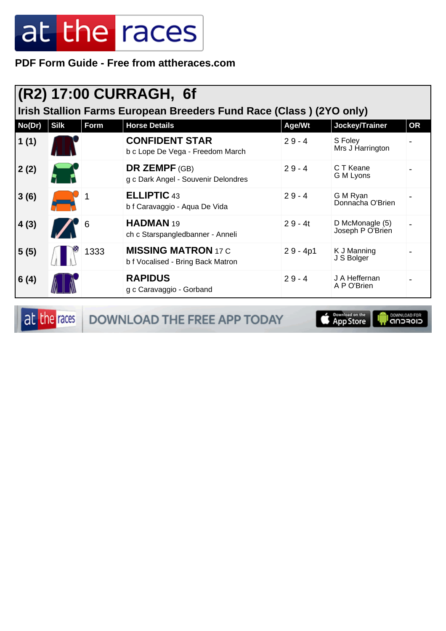**PDF Form Guide - Free from attheraces.com**

| (R2) 17:00 CURRAGH, 6f<br>Irish Stallion Farms European Breeders Fund Race (Class) (2YO only) |             |      |                                                                 |            |                                     |           |  |  |
|-----------------------------------------------------------------------------------------------|-------------|------|-----------------------------------------------------------------|------------|-------------------------------------|-----------|--|--|
| No(Dr)                                                                                        | <b>Silk</b> | Form | <b>Horse Details</b>                                            | Age/Wt     | Jockey/Trainer                      | <b>OR</b> |  |  |
| 1(1)                                                                                          |             |      | <b>CONFIDENT STAR</b><br>b c Lope De Vega - Freedom March       | $29 - 4$   | S Foley<br>Mrs J Harrington         |           |  |  |
| 2(2)                                                                                          |             |      | <b>DR ZEMPF</b> (GB)<br>g c Dark Angel - Souvenir Delondres     | $29 - 4$   | C T Keane<br>G M Lyons              |           |  |  |
| 3(6)                                                                                          |             |      | <b>ELLIPTIC 43</b><br>b f Caravaggio - Aqua De Vida             | $29 - 4$   | G M Ryan<br>Donnacha O'Brien        |           |  |  |
| 4(3)                                                                                          |             | 6    | HADMAN <sub>19</sub><br>ch c Starspangledbanner - Anneli        | $29 - 4t$  | D McMonagle (5)<br>Joseph P O'Brien |           |  |  |
| 5(5)                                                                                          |             | 1333 | <b>MISSING MATRON 17 C</b><br>b f Vocalised - Bring Back Matron | $29 - 4p1$ | K J Manning<br>J S Bolger           |           |  |  |
| 6(4)                                                                                          |             |      | <b>RAPIDUS</b><br>g c Caravaggio - Gorband                      | $29 - 4$   | J A Heffernan<br>A P O'Brien        |           |  |  |

at the races DOWNLOAD THE FREE APP TODAY

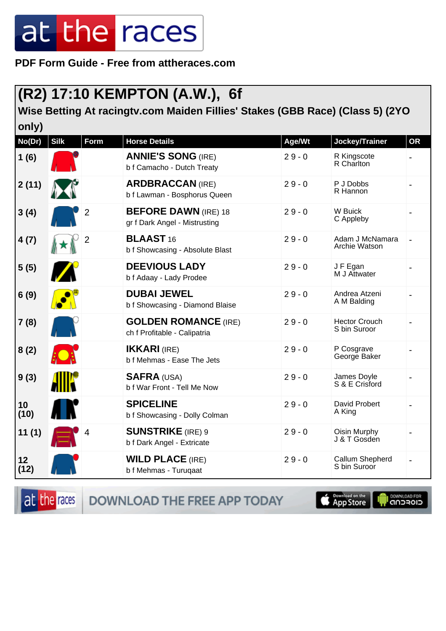**PDF Form Guide - Free from attheraces.com**

#### **(R2) 17:10 KEMPTON (A.W.), 6f**

#### **Wise Betting At racingtv.com Maiden Fillies' Stakes (GBB Race) (Class 5) (2YO only)**

| VIII Y J<br>No(Dr) | <b>Silk</b>  | Form           | <b>Horse Details</b>                                         | Age/Wt   | Jockey/Trainer                       | <b>OR</b> |
|--------------------|--------------|----------------|--------------------------------------------------------------|----------|--------------------------------------|-----------|
| 1(6)               |              |                | <b>ANNIE'S SONG (IRE)</b><br>b f Camacho - Dutch Treaty      | $29 - 0$ | R Kingscote<br>R Charlton            |           |
| 2(11)              |              |                | <b>ARDBRACCAN (IRE)</b><br>b f Lawman - Bosphorus Queen      | $29 - 0$ | P J Dobbs<br>R Hannon                |           |
| 3(4)               |              | $\overline{2}$ | <b>BEFORE DAWN (IRE) 18</b><br>gr f Dark Angel - Mistrusting | $29 - 0$ | W Buick<br>C Appleby                 |           |
| 4(7)               |              | 2              | <b>BLAAST</b> 16<br>b f Showcasing - Absolute Blast          | $29 - 0$ | Adam J McNamara<br>Archie Watson     |           |
| 5(5)               |              |                | <b>DEEVIOUS LADY</b><br>b f Adaay - Lady Prodee              | $29 - 0$ | J F Egan<br>M J Attwater             |           |
| 6(9)               |              |                | <b>DUBAI JEWEL</b><br>b f Showcasing - Diamond Blaise        | $29 - 0$ | Andrea Atzeni<br>A M Balding         |           |
| 7(8)               |              |                | <b>GOLDEN ROMANCE (IRE)</b><br>ch f Profitable - Calipatria  | $29 - 0$ | <b>Hector Crouch</b><br>S bin Suroor |           |
| 8(2)               |              |                | <b>IKKARI (IRE)</b><br>b f Mehmas - Ease The Jets            | $29 - 0$ | P Cosgrave<br>George Baker           |           |
| 9(3)               | <b>AIIIA</b> |                | <b>SAFRA (USA)</b><br>b f War Front - Tell Me Now            | $29 - 0$ | James Doyle<br>S & E Crisford        |           |
| 10<br>(10)         |              |                | <b>SPICELINE</b><br>b f Showcasing - Dolly Colman            | $29 - 0$ | David Probert<br>A King              |           |
| 11(1)              |              |                | <b>SUNSTRIKE</b> (IRE) 9<br>b f Dark Angel - Extricate       | $29 - 0$ | Oisin Murphy<br>J & T Gosden         |           |
| 12<br>(12)         |              |                | <b>WILD PLACE (IRE)</b><br>b f Mehmas - Turuqaat             | $29 - 0$ | Callum Shepherd<br>S bin Suroor      |           |

at the races

DOWNLOAD THE FREE APP TODAY

App Store

**DOWNLOAD FOR**